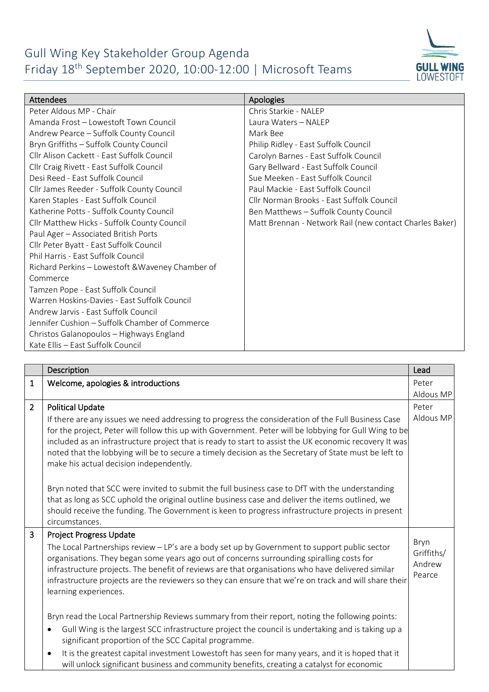## Gull Wing Key Stakeholder Group Agenda Friday 18th September 2020, 10:00-12:00 | Microsoft Teams



| <b>Attendees</b>                                 | Apologies                                               |
|--------------------------------------------------|---------------------------------------------------------|
| Peter Aldous MP - Chair                          | Chris Starkie - NALEP                                   |
| Amanda Frost - Lowestoft Town Council            | Laura Waters - NALEP                                    |
| Andrew Pearce - Suffolk County Council           | Mark Bee                                                |
| Bryn Griffiths - Suffolk County Council          | Philip Ridley - East Suffolk Council                    |
| Cllr Alison Cackett - East Suffolk Council       | Carolyn Barnes - East Suffolk Council                   |
| Cllr Craig Rivett - East Suffolk Council         | Gary Bellward - East Suffolk Council                    |
| Desi Reed - East Suffolk Council                 | Sue Meeken - East Suffolk Council                       |
| Cllr James Reeder - Suffolk County Council       | Paul Mackie - East Suffolk Council                      |
| Karen Staples - East Suffolk Council             | Cllr Norman Brooks - East Suffolk Council               |
| Katherine Potts - Suffolk County Council         | Ben Matthews - Suffolk County Council                   |
| Cllr Matthew Hicks - Suffolk County Council      | Matt Brennan - Network Rail (new contact Charles Baker) |
| Paul Ager - Associated British Ports             |                                                         |
| Cllr Peter Byatt - East Suffolk Council          |                                                         |
| Phil Harris - Fast Suffolk Council               |                                                         |
| Richard Perkins - Lowestoft & Waveney Chamber of |                                                         |
| Commerce                                         |                                                         |
| Tamzen Pope - East Suffolk Council               |                                                         |
| Warren Hoskins-Davies - East Suffolk Council     |                                                         |
| Andrew Jarvis - East Suffolk Council             |                                                         |
| Jennifer Cushion - Suffolk Chamber of Commerce   |                                                         |
| Christos Galanopoulos - Highways England         |                                                         |
| Kate Ellis - East Suffolk Council                |                                                         |

|                | Description                                                                                                                                                                                                                                                                                                                                                                                                                                                                | Lead                                   |
|----------------|----------------------------------------------------------------------------------------------------------------------------------------------------------------------------------------------------------------------------------------------------------------------------------------------------------------------------------------------------------------------------------------------------------------------------------------------------------------------------|----------------------------------------|
| $\mathbf{1}$   | Welcome, apologies & introductions                                                                                                                                                                                                                                                                                                                                                                                                                                         | Peter                                  |
|                |                                                                                                                                                                                                                                                                                                                                                                                                                                                                            | Aldous MP                              |
| $\overline{2}$ | <b>Political Update</b>                                                                                                                                                                                                                                                                                                                                                                                                                                                    | Peter                                  |
|                | If there are any issues we need addressing to progress the consideration of the Full Business Case<br>for the project, Peter will follow this up with Government. Peter will be lobbying for Gull Wing to be<br>included as an infrastructure project that is ready to start to assist the UK economic recovery It was<br>noted that the lobbying will be to secure a timely decision as the Secretary of State must be left to<br>make his actual decision independently. | Aldous MP                              |
|                | Bryn noted that SCC were invited to submit the full business case to DfT with the understanding<br>that as long as SCC uphold the original outline business case and deliver the items outlined, we<br>should receive the funding. The Government is keen to progress infrastructure projects in present<br>circumstances.                                                                                                                                                 |                                        |
| $\overline{3}$ | Project Progress Update                                                                                                                                                                                                                                                                                                                                                                                                                                                    |                                        |
|                | The Local Partnerships review - LP's are a body set up by Government to support public sector<br>organisations. They began some years ago out of concerns surrounding spiralling costs for<br>infrastructure projects. The benefit of reviews are that organisations who have delivered similar<br>infrastructure projects are the reviewers so they can ensure that we're on track and will share their<br>learning experiences.                                          | Bryn<br>Griffiths/<br>Andrew<br>Pearce |
|                | Bryn read the Local Partnership Reviews summary from their report, noting the following points:                                                                                                                                                                                                                                                                                                                                                                            |                                        |
|                | Gull Wing is the largest SCC infrastructure project the council is undertaking and is taking up a<br>significant proportion of the SCC Capital programme.                                                                                                                                                                                                                                                                                                                  |                                        |
|                | It is the greatest capital investment Lowestoft has seen for many years, and it is hoped that it<br>will unlock significant business and community benefits, creating a catalyst for economic                                                                                                                                                                                                                                                                              |                                        |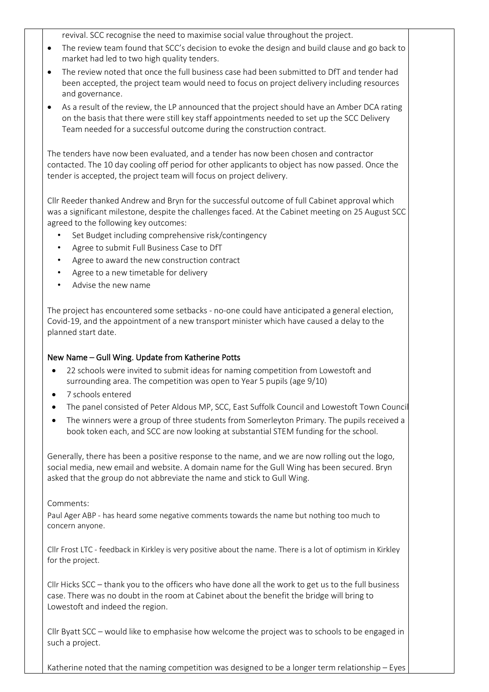revival. SCC recognise the need to maximise social value throughout the project.

- The review team found that SCC's decision to evoke the design and build clause and go back to market had led to two high quality tenders.
- The review noted that once the full business case had been submitted to DfT and tender had been accepted, the project team would need to focus on project delivery including resources and governance.
- As a result of the review, the LP announced that the project should have an Amber DCA rating on the basis that there were still key staff appointments needed to set up the SCC Delivery Team needed for a successful outcome during the construction contract.

The tenders have now been evaluated, and a tender has now been chosen and contractor contacted. The 10 day cooling off period for other applicants to object has now passed. Once the tender is accepted, the project team will focus on project delivery.

Cllr Reeder thanked Andrew and Bryn for the successful outcome of full Cabinet approval which was a significant milestone, despite the challenges faced. At the Cabinet meeting on 25 August SCC agreed to the following key outcomes:

- Set Budget including comprehensive risk/contingency
- Agree to submit Full Business Case to DfT
- Agree to award the new construction contract
- Agree to a new timetable for delivery
- Advise the new name

The project has encountered some setbacks - no-one could have anticipated a general election, Covid-19, and the appointment of a new transport minister which have caused a delay to the planned start date.

## New Name – Gull Wing. Update from Katherine Potts

- 22 schools were invited to submit ideas for naming competition from Lowestoft and surrounding area. The competition was open to Year 5 pupils (age 9/10)
- 7 schools entered
- The panel consisted of Peter Aldous MP, SCC, East Suffolk Council and Lowestoft Town Council
- The winners were a group of three students from Somerleyton Primary. The pupils received a book token each, and SCC are now looking at substantial STEM funding for the school.

Generally, there has been a positive response to the name, and we are now rolling out the logo, social media, new email and website. A domain name for the Gull Wing has been secured. Bryn asked that the group do not abbreviate the name and stick to Gull Wing.

## Comments:

Paul Ager ABP - has heard some negative comments towards the name but nothing too much to concern anyone.

Cllr Frost LTC - feedback in Kirkley is very positive about the name. There is a lot of optimism in Kirkley for the project.

Cllr Hicks SCC – thank you to the officers who have done all the work to get us to the full business case. There was no doubt in the room at Cabinet about the benefit the bridge will bring to Lowestoft and indeed the region.

Cllr Byatt SCC – would like to emphasise how welcome the project was to schools to be engaged in such a project.

Katherine noted that the naming competition was designed to be a longer term relationship – Eyes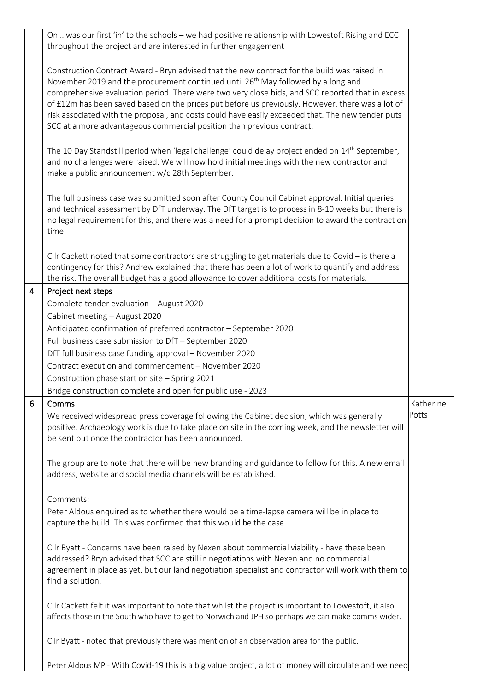|   | On was our first 'in' to the schools - we had positive relationship with Lowestoft Rising and ECC<br>throughout the project and are interested in further engagement                                                                                                                                                                                                                                                                                                                                                                                                                 |                    |
|---|--------------------------------------------------------------------------------------------------------------------------------------------------------------------------------------------------------------------------------------------------------------------------------------------------------------------------------------------------------------------------------------------------------------------------------------------------------------------------------------------------------------------------------------------------------------------------------------|--------------------|
|   | Construction Contract Award - Bryn advised that the new contract for the build was raised in<br>November 2019 and the procurement continued until 26 <sup>th</sup> May followed by a long and<br>comprehensive evaluation period. There were two very close bids, and SCC reported that in excess<br>of £12m has been saved based on the prices put before us previously. However, there was a lot of<br>risk associated with the proposal, and costs could have easily exceeded that. The new tender puts<br>SCC at a more advantageous commercial position than previous contract. |                    |
|   | The 10 Day Standstill period when 'legal challenge' could delay project ended on 14 <sup>th</sup> September,<br>and no challenges were raised. We will now hold initial meetings with the new contractor and<br>make a public announcement w/c 28th September.                                                                                                                                                                                                                                                                                                                       |                    |
|   | The full business case was submitted soon after County Council Cabinet approval. Initial queries<br>and technical assessment by DfT underway. The DfT target is to process in 8-10 weeks but there is<br>no legal requirement for this, and there was a need for a prompt decision to award the contract on<br>time.                                                                                                                                                                                                                                                                 |                    |
|   | Cllr Cackett noted that some contractors are struggling to get materials due to Covid $-$ is there a<br>contingency for this? Andrew explained that there has been a lot of work to quantify and address<br>the risk. The overall budget has a good allowance to cover additional costs for materials.                                                                                                                                                                                                                                                                               |                    |
| 4 | Project next steps                                                                                                                                                                                                                                                                                                                                                                                                                                                                                                                                                                   |                    |
|   | Complete tender evaluation - August 2020                                                                                                                                                                                                                                                                                                                                                                                                                                                                                                                                             |                    |
|   | Cabinet meeting - August 2020                                                                                                                                                                                                                                                                                                                                                                                                                                                                                                                                                        |                    |
|   | Anticipated confirmation of preferred contractor - September 2020                                                                                                                                                                                                                                                                                                                                                                                                                                                                                                                    |                    |
|   | Full business case submission to DfT - September 2020                                                                                                                                                                                                                                                                                                                                                                                                                                                                                                                                |                    |
|   | DfT full business case funding approval - November 2020                                                                                                                                                                                                                                                                                                                                                                                                                                                                                                                              |                    |
|   | Contract execution and commencement - November 2020                                                                                                                                                                                                                                                                                                                                                                                                                                                                                                                                  |                    |
|   | Construction phase start on site - Spring 2021                                                                                                                                                                                                                                                                                                                                                                                                                                                                                                                                       |                    |
|   | Bridge construction complete and open for public use - 2023                                                                                                                                                                                                                                                                                                                                                                                                                                                                                                                          |                    |
| 6 | Comms<br>We received widespread press coverage following the Cabinet decision, which was generally<br>positive. Archaeology work is due to take place on site in the coming week, and the newsletter will<br>be sent out once the contractor has been announced.                                                                                                                                                                                                                                                                                                                     | Katherine<br>Potts |
|   | The group are to note that there will be new branding and guidance to follow for this. A new email<br>address, website and social media channels will be established.                                                                                                                                                                                                                                                                                                                                                                                                                |                    |
|   | Comments:<br>Peter Aldous enquired as to whether there would be a time-lapse camera will be in place to<br>capture the build. This was confirmed that this would be the case.                                                                                                                                                                                                                                                                                                                                                                                                        |                    |
|   | Cllr Byatt - Concerns have been raised by Nexen about commercial viability - have these been<br>addressed? Bryn advised that SCC are still in negotiations with Nexen and no commercial<br>agreement in place as yet, but our land negotiation specialist and contractor will work with them to<br>find a solution.                                                                                                                                                                                                                                                                  |                    |
|   | Cllr Cackett felt it was important to note that whilst the project is important to Lowestoft, it also<br>affects those in the South who have to get to Norwich and JPH so perhaps we can make comms wider.                                                                                                                                                                                                                                                                                                                                                                           |                    |
|   | Cllr Byatt - noted that previously there was mention of an observation area for the public.                                                                                                                                                                                                                                                                                                                                                                                                                                                                                          |                    |
|   | Peter Aldous MP - With Covid-19 this is a big value project, a lot of money will circulate and we need                                                                                                                                                                                                                                                                                                                                                                                                                                                                               |                    |